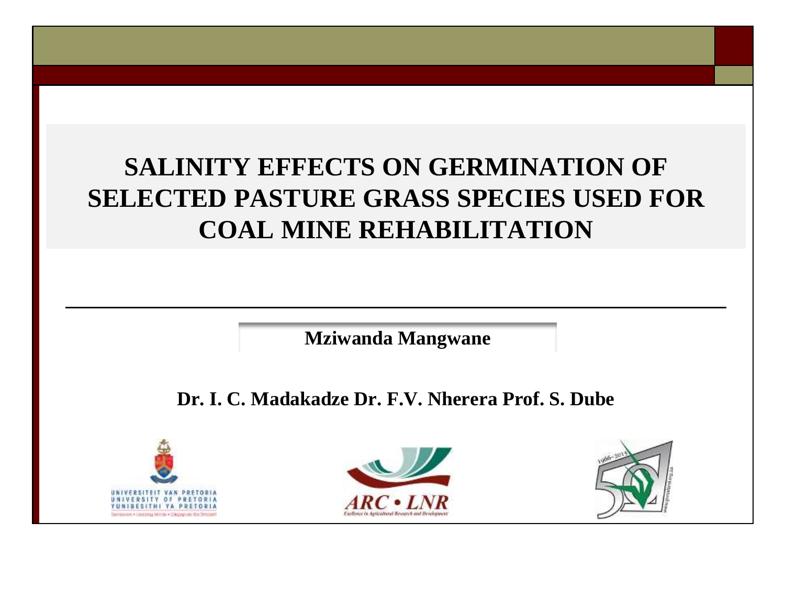#### **SALINITY EFFECTS ON GERMINATION OF SELECTED PASTURE GRASS SPECIES USED FOR COAL MINE REHABILITATION**

**Mziwanda Mangwane** 

**Dr. I. C. Madakadze Dr. F.V. Nherera Prof. S. Dube** 





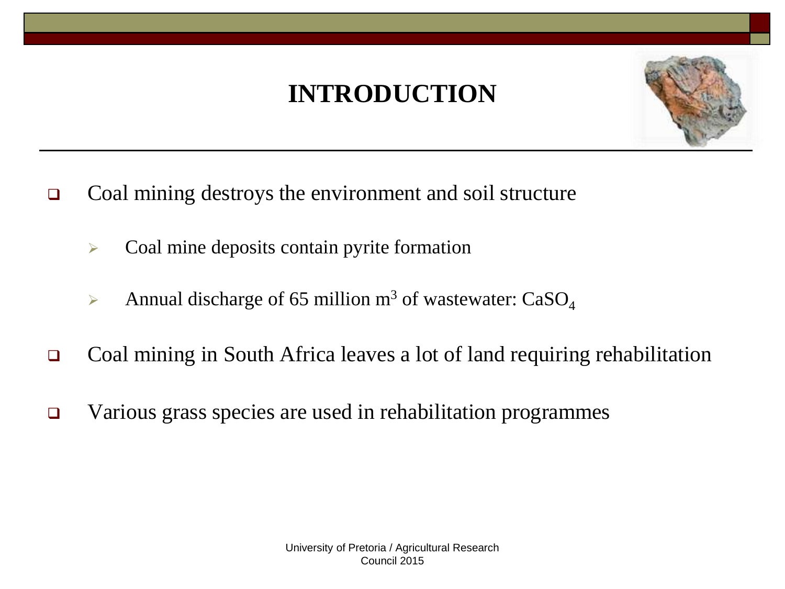## **INTRODUCTION**



- □ Coal mining destroys the environment and soil structure
	- $\triangleright$  Coal mine deposits contain pyrite formation
	- Annual discharge of 65 million  $m^3$  of wastewater: CaSO<sub>4</sub>
- Coal mining in South Africa leaves a lot of land requiring rehabilitation
- Various grass species are used in rehabilitation programmes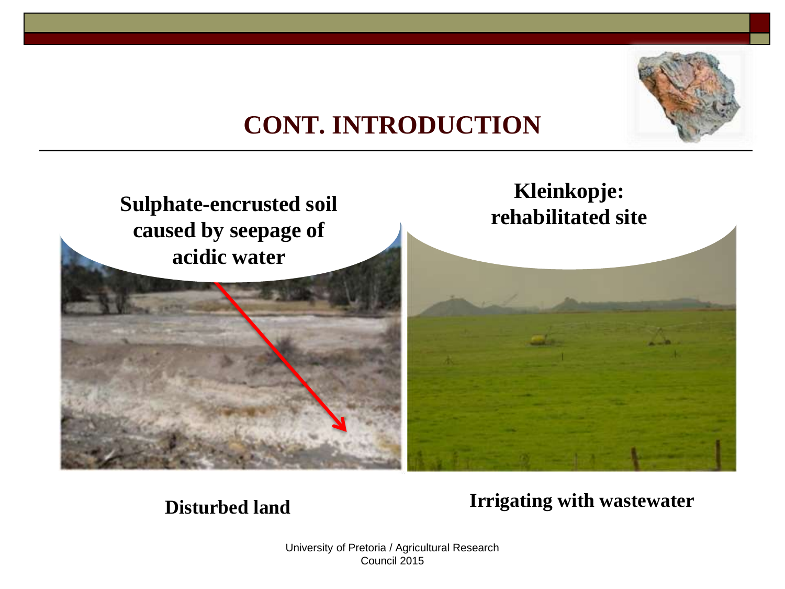

#### **CONT. INTRODUCTION**



#### **Disturbed land Irrigating with wastewater**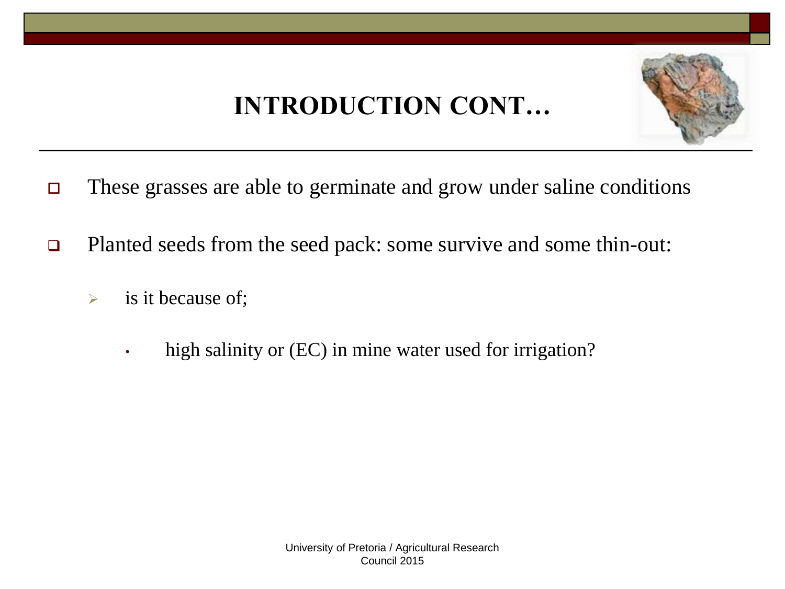# **INTRODUCTION CONT…**



- These grasses are able to germinate and grow under saline conditions
- □ Planted seeds from the seed pack: some survive and some thin-out:
	- $\triangleright$  is it because of;
		- high salinity or (EC) in mine water used for irrigation?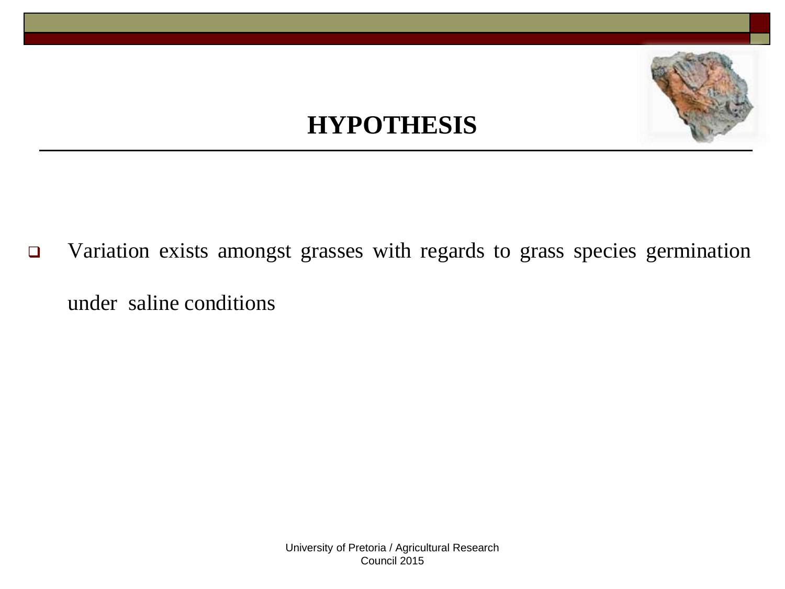#### **HYPOTHESIS**

 Variation exists amongst grasses with regards to grass species germination under saline conditions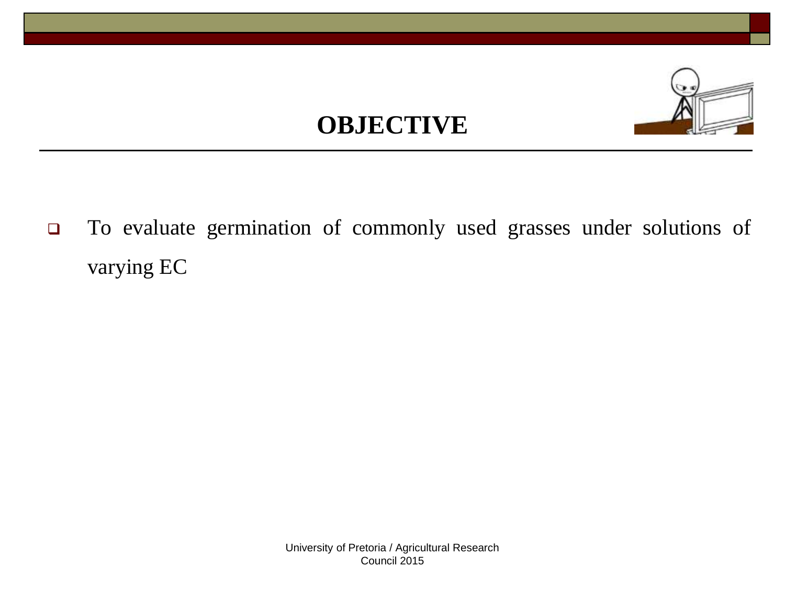### **OBJECTIVE**



 To evaluate germination of commonly used grasses under solutions of varying EC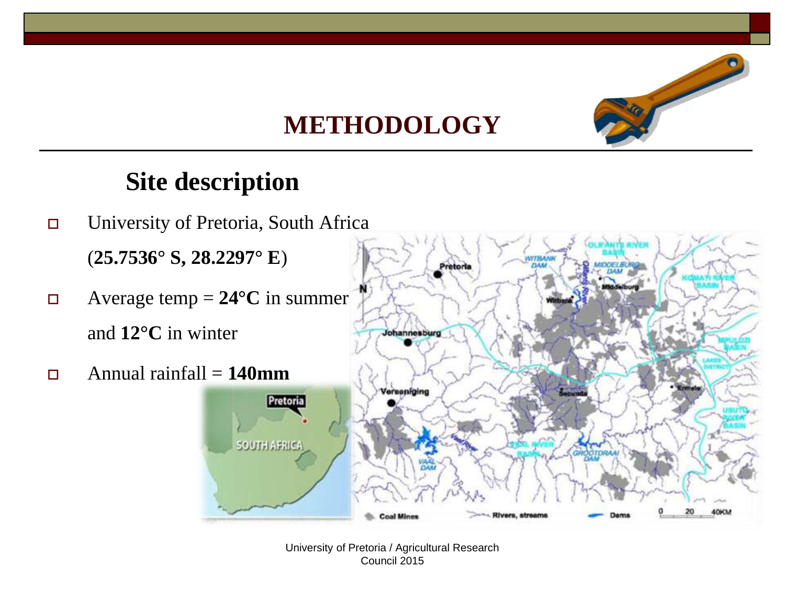

#### **Site description**

 University of Pretoria, South Africa (**25.7536° S, 28.2297° E**) Pretoria  $\Box$  Average temp = 24<sup>o</sup>C in summer and **12°C** in winter Johannesburg  $\Box$  Annual rainfall = **140mm** Verseniging Pretoria **SOUTH AFRICA** 40KM **Coal Mines**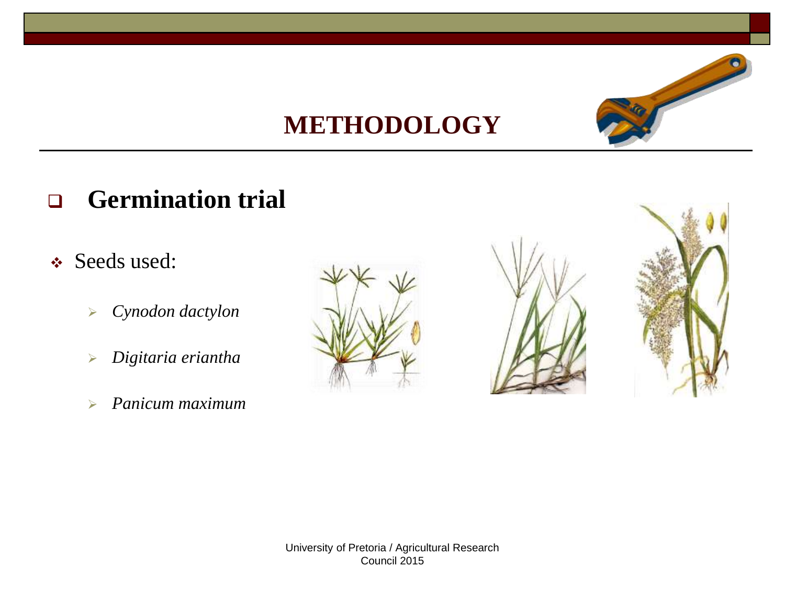

#### **Germination trial**

- Seeds used:
	- *Cynodon dactylon*
	- *Digitaria eriantha*
	- *Panicum maximum*





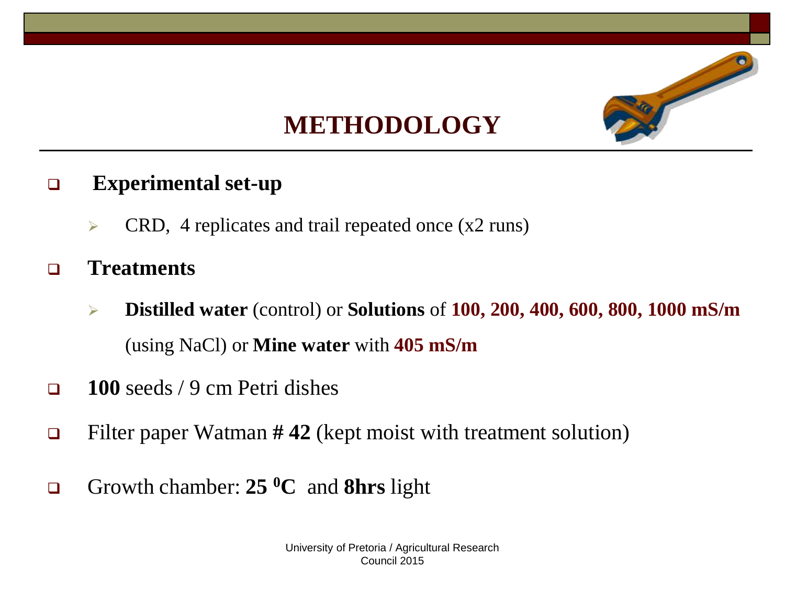

#### **Experimental set-up**

- $\triangleright$  CRD, 4 replicates and trail repeated once (x2 runs)
- **Treatments** 
	- **Distilled water** (control) or **Solutions** of **100, 200, 400, 600, 800, 1000 mS/m**  (using NaCl) or **Mine water** with **405 mS/m**
- **100** seeds / 9 cm Petri dishes
- Filter paper Watman **# 42** (kept moist with treatment solution)
- Growth chamber: **25 <sup>0</sup>C** and **8hrs** light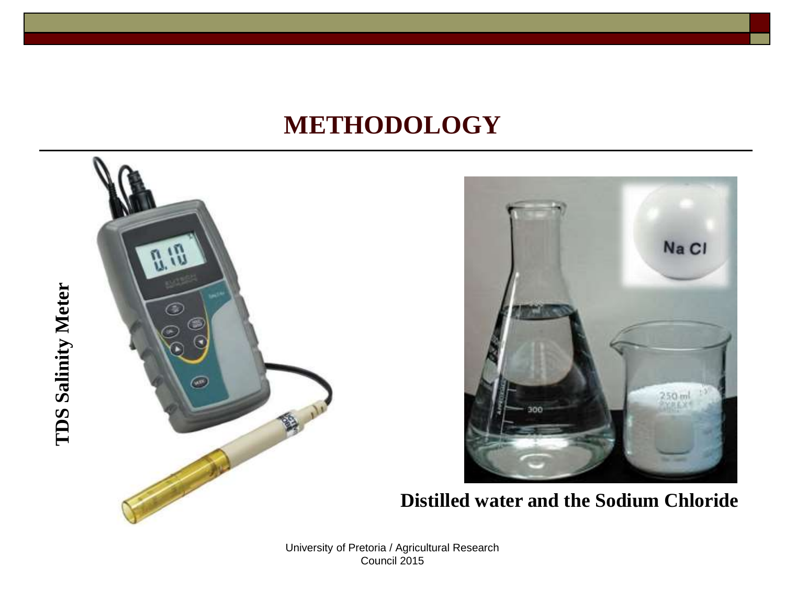



**Distilled water and the Sodium Chloride**

# **TDS Salinity Meter TDS Salinity Meter**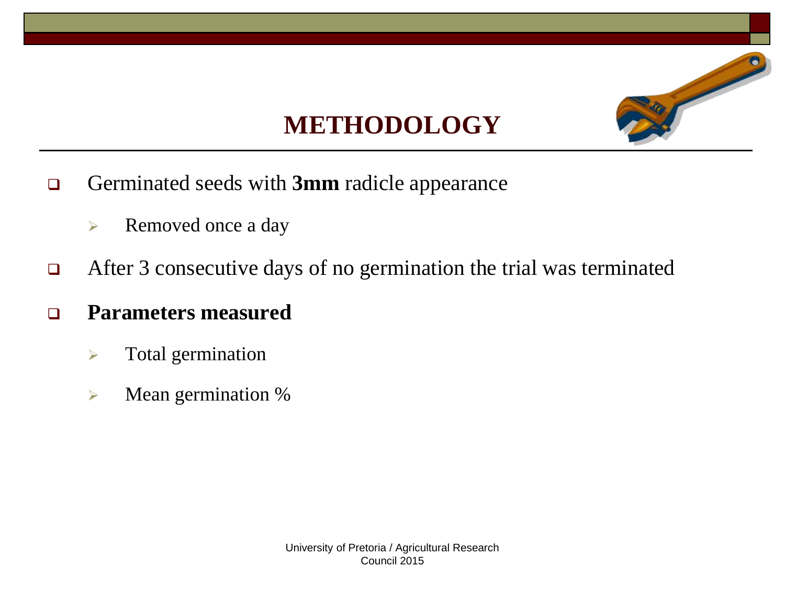

- Germinated seeds with **3mm** radicle appearance
	- Removed once a day
- □ After 3 consecutive days of no germination the trial was terminated
- **Parameters measured**
	- $\triangleright$  Total germination
	- **EXECUTE:** Mean germination %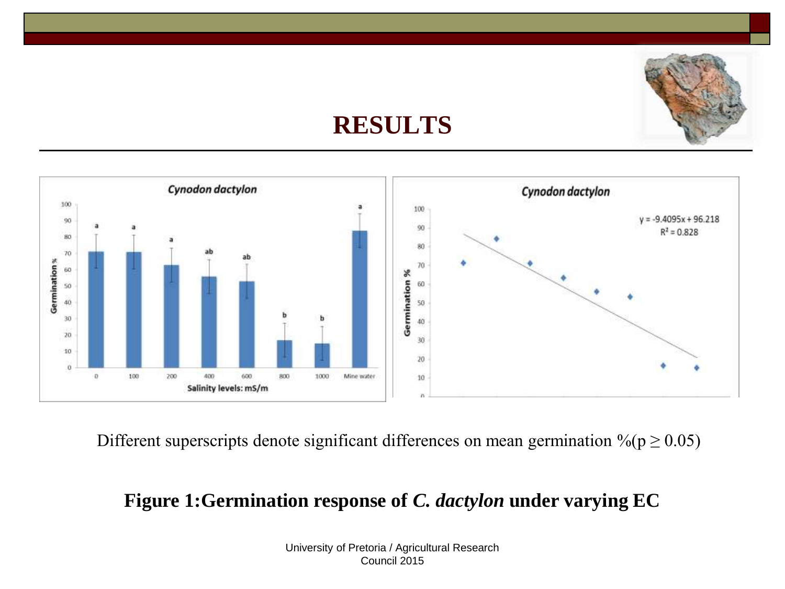#### **RESULTS**



Different superscripts denote significant differences on mean germination  $\%$  ( $p \ge 0.05$ )

#### **Figure 1:Germination response of** *C. dactylon* **under varying EC**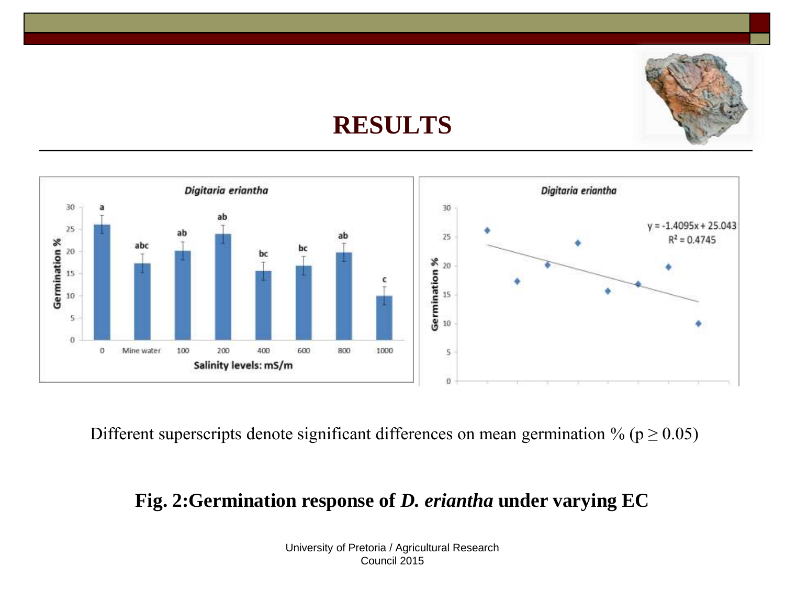#### **RESULTS**



Different superscripts denote significant differences on mean germination % ( $p \ge 0.05$ )

#### **Fig. 2:Germination response of** *D. eriantha* **under varying EC**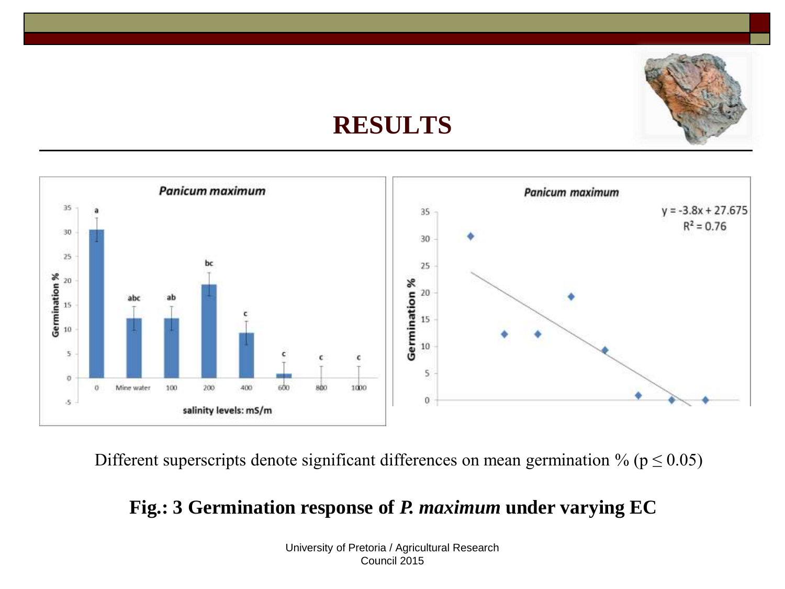#### **RESULTS**



Different superscripts denote significant differences on mean germination % ( $p \le 0.05$ )

#### **Fig.: 3 Germination response of** *P. maximum* **under varying EC**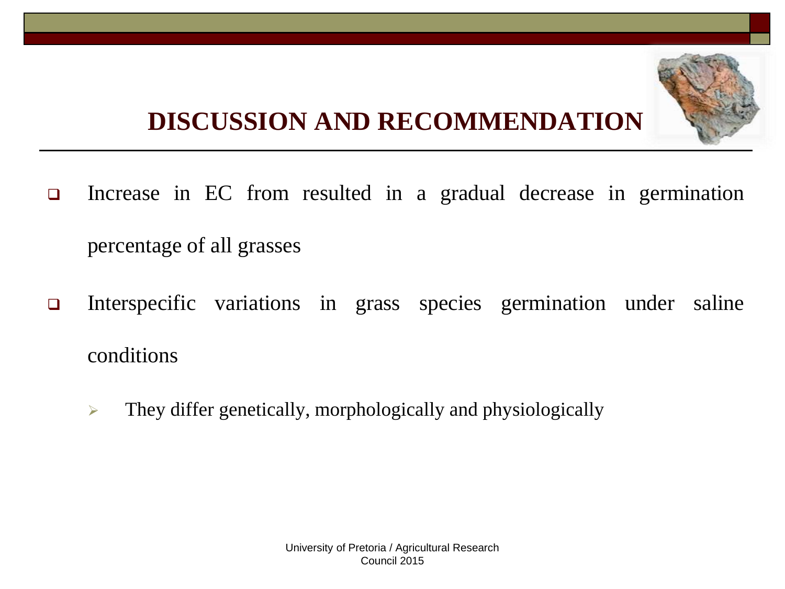# **DISCUSSION AND RECOMMENDATION**

- Increase in EC from resulted in a gradual decrease in germination percentage of all grasses
- Interspecific variations in grass species germination under saline conditions
	- $\triangleright$  They differ genetically, morphologically and physiologically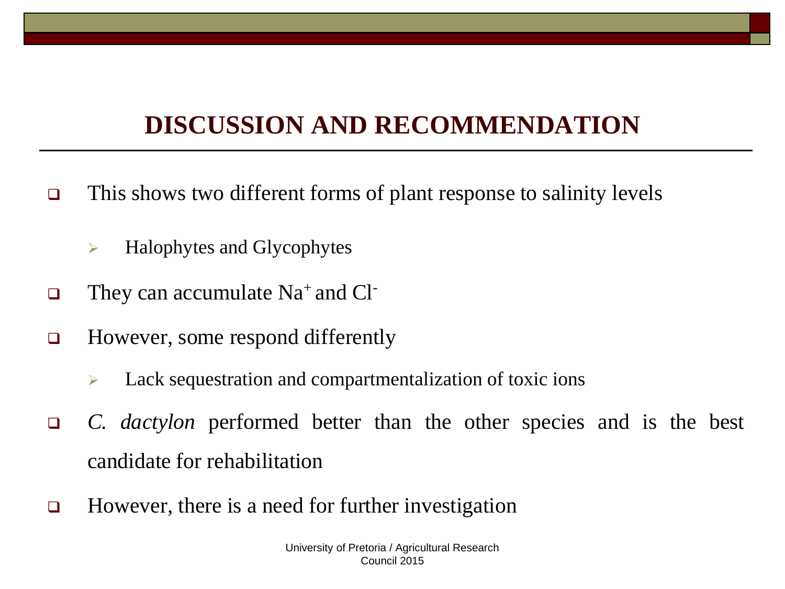# **DISCUSSION AND RECOMMENDATION**

- $\Box$  This shows two different forms of plant response to salinity levels
	- $\triangleright$  Halophytes and Glycophytes
- $\Box$  They can accumulate Na<sup>+</sup> and Cl<sup>-</sup>
- □ However, some respond differently
	- $\triangleright$  Lack sequestration and compartmentalization of toxic ions
- *C. dactylon* performed better than the other species and is the best candidate for rehabilitation
- □ However, there is a need for further investigation